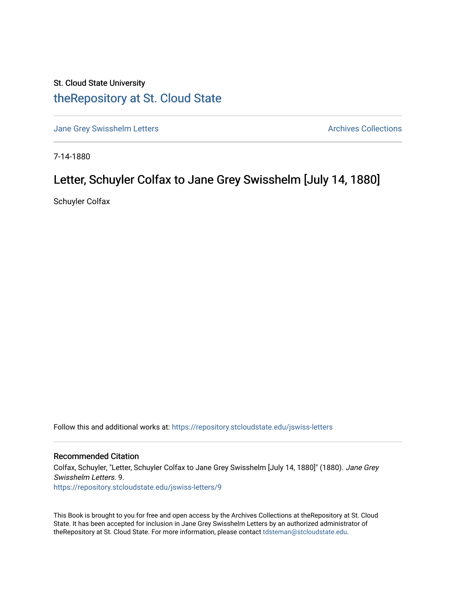## St. Cloud State University [theRepository at St. Cloud State](https://repository.stcloudstate.edu/)

[Jane Grey Swisshelm Letters](https://repository.stcloudstate.edu/jswiss-letters) **Archives Collections** Archives Collections

7-14-1880

## Letter, Schuyler Colfax to Jane Grey Swisshelm [July 14, 1880]

Schuyler Colfax

Follow this and additional works at: [https://repository.stcloudstate.edu/jswiss-letters](https://repository.stcloudstate.edu/jswiss-letters?utm_source=repository.stcloudstate.edu%2Fjswiss-letters%2F9&utm_medium=PDF&utm_campaign=PDFCoverPages) 

## Recommended Citation

Colfax, Schuyler, "Letter, Schuyler Colfax to Jane Grey Swisshelm [July 14, 1880]" (1880). Jane Grey Swisshelm Letters. 9. [https://repository.stcloudstate.edu/jswiss-letters/9](https://repository.stcloudstate.edu/jswiss-letters/9?utm_source=repository.stcloudstate.edu%2Fjswiss-letters%2F9&utm_medium=PDF&utm_campaign=PDFCoverPages) 

This Book is brought to you for free and open access by the Archives Collections at theRepository at St. Cloud State. It has been accepted for inclusion in Jane Grey Swisshelm Letters by an authorized administrator of theRepository at St. Cloud State. For more information, please contact [tdsteman@stcloudstate.edu](mailto:tdsteman@stcloudstate.edu).